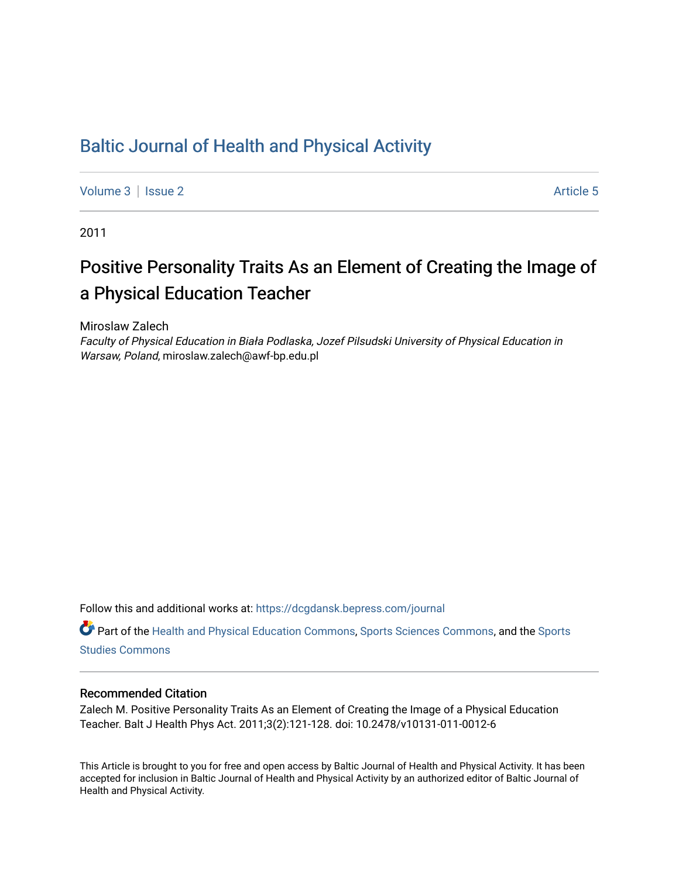## [Baltic Journal of Health and Physical Activity](https://dcgdansk.bepress.com/journal)

[Volume 3](https://dcgdansk.bepress.com/journal/vol3) | [Issue 2](https://dcgdansk.bepress.com/journal/vol3/iss2) Article 5

2011

# Positive Personality Traits As an Element of Creating the Image of a Physical Education Teacher

Miroslaw Zalech

Faculty of Physical Education in Biała Podlaska, Jozef Pilsudski University of Physical Education in Warsaw, Poland, miroslaw.zalech@awf-bp.edu.pl

Follow this and additional works at: [https://dcgdansk.bepress.com/journal](https://dcgdansk.bepress.com/journal?utm_source=dcgdansk.bepress.com%2Fjournal%2Fvol3%2Fiss2%2F5&utm_medium=PDF&utm_campaign=PDFCoverPages)

Part of the [Health and Physical Education Commons](http://network.bepress.com/hgg/discipline/1327?utm_source=dcgdansk.bepress.com%2Fjournal%2Fvol3%2Fiss2%2F5&utm_medium=PDF&utm_campaign=PDFCoverPages), [Sports Sciences Commons](http://network.bepress.com/hgg/discipline/759?utm_source=dcgdansk.bepress.com%2Fjournal%2Fvol3%2Fiss2%2F5&utm_medium=PDF&utm_campaign=PDFCoverPages), and the [Sports](http://network.bepress.com/hgg/discipline/1198?utm_source=dcgdansk.bepress.com%2Fjournal%2Fvol3%2Fiss2%2F5&utm_medium=PDF&utm_campaign=PDFCoverPages)  [Studies Commons](http://network.bepress.com/hgg/discipline/1198?utm_source=dcgdansk.bepress.com%2Fjournal%2Fvol3%2Fiss2%2F5&utm_medium=PDF&utm_campaign=PDFCoverPages) 

#### Recommended Citation

Zalech M. Positive Personality Traits As an Element of Creating the Image of a Physical Education Teacher. Balt J Health Phys Act. 2011;3(2):121-128. doi: 10.2478/v10131-011-0012-6

This Article is brought to you for free and open access by Baltic Journal of Health and Physical Activity. It has been accepted for inclusion in Baltic Journal of Health and Physical Activity by an authorized editor of Baltic Journal of Health and Physical Activity.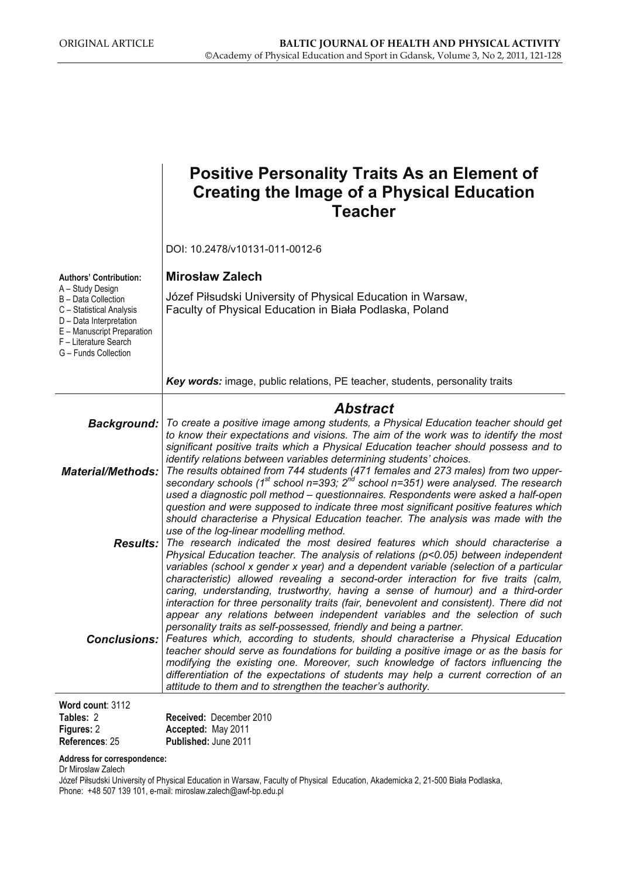|                                                                                                                                                                               | <b>Positive Personality Traits As an Element of</b><br><b>Creating the Image of a Physical Education</b><br><b>Teacher</b>                                                                                                                                                                                                                                                                                                                                                                                                                                                                                                                                                                                                                                                                                                                                         |
|-------------------------------------------------------------------------------------------------------------------------------------------------------------------------------|--------------------------------------------------------------------------------------------------------------------------------------------------------------------------------------------------------------------------------------------------------------------------------------------------------------------------------------------------------------------------------------------------------------------------------------------------------------------------------------------------------------------------------------------------------------------------------------------------------------------------------------------------------------------------------------------------------------------------------------------------------------------------------------------------------------------------------------------------------------------|
|                                                                                                                                                                               | DOI: 10.2478/v10131-011-0012-6                                                                                                                                                                                                                                                                                                                                                                                                                                                                                                                                                                                                                                                                                                                                                                                                                                     |
| <b>Authors' Contribution:</b>                                                                                                                                                 | <b>Mirosław Zalech</b>                                                                                                                                                                                                                                                                                                                                                                                                                                                                                                                                                                                                                                                                                                                                                                                                                                             |
| A – Study Design<br>B - Data Collection<br>C - Statistical Analysis<br>D - Data Interpretation<br>E - Manuscript Preparation<br>F - Literature Search<br>G - Funds Collection | Józef Piłsudski University of Physical Education in Warsaw,<br>Faculty of Physical Education in Biała Podlaska, Poland                                                                                                                                                                                                                                                                                                                                                                                                                                                                                                                                                                                                                                                                                                                                             |
|                                                                                                                                                                               | Key words: image, public relations, PE teacher, students, personality traits                                                                                                                                                                                                                                                                                                                                                                                                                                                                                                                                                                                                                                                                                                                                                                                       |
|                                                                                                                                                                               | <b>Abstract</b>                                                                                                                                                                                                                                                                                                                                                                                                                                                                                                                                                                                                                                                                                                                                                                                                                                                    |
| <b>Material/Methods:</b>                                                                                                                                                      | Background:   To create a positive image among students, a Physical Education teacher should get<br>to know their expectations and visions. The aim of the work was to identify the most<br>significant positive traits which a Physical Education teacher should possess and to<br>identify relations between variables determining students' choices.<br>The results obtained from 744 students (471 females and 273 males) from two upper-<br>secondary schools (1 <sup>st</sup> school n=393; $2^{nd}$ school n=351) were analysed. The research<br>used a diagnostic poll method - questionnaires. Respondents were asked a half-open<br>question and were supposed to indicate three most significant positive features which<br>should characterise a Physical Education teacher. The analysis was made with the<br>use of the log-linear modelling method. |
|                                                                                                                                                                               | <b>Results:</b> The research indicated the most desired features which should characterise a<br>Physical Education teacher. The analysis of relations (p<0.05) between independent<br>variables (school x gender x year) and a dependent variable (selection of a particular<br>characteristic) allowed revealing a second-order interaction for five traits (calm,<br>caring, understanding, trustworthy, having a sense of humour) and a third-order<br>interaction for three personality traits (fair, benevolent and consistent). There did not<br>appear any relations between independent variables and the selection of such<br>personality traits as self-possessed, friendly and being a partner.                                                                                                                                                         |
| <b>Conclusions:</b><br>Word count: 3112                                                                                                                                       | Features which, according to students, should characterise a Physical Education<br>teacher should serve as foundations for building a positive image or as the basis for<br>modifying the existing one. Moreover, such knowledge of factors influencing the<br>differentiation of the expectations of students may help a current correction of an<br>attitude to them and to strengthen the teacher's authority.                                                                                                                                                                                                                                                                                                                                                                                                                                                  |

| Tables: 2         | <b>Received: December 2010</b> |
|-------------------|--------------------------------|
| <b>Figures: 2</b> | Accepted: May 2011             |
| References: 25    | <b>Published: June 2011</b>    |

#### **Address for correspondence:**

Dr Miroslaw Zalech

Józef Piłsudski University of Physical Education in Warsaw, Faculty of Physical Education, Akademicka 2, 21-500 Biała Podlaska, Phone: +48 507 139 101, e-mail: miroslaw.zalech@awf-bp.edu.pl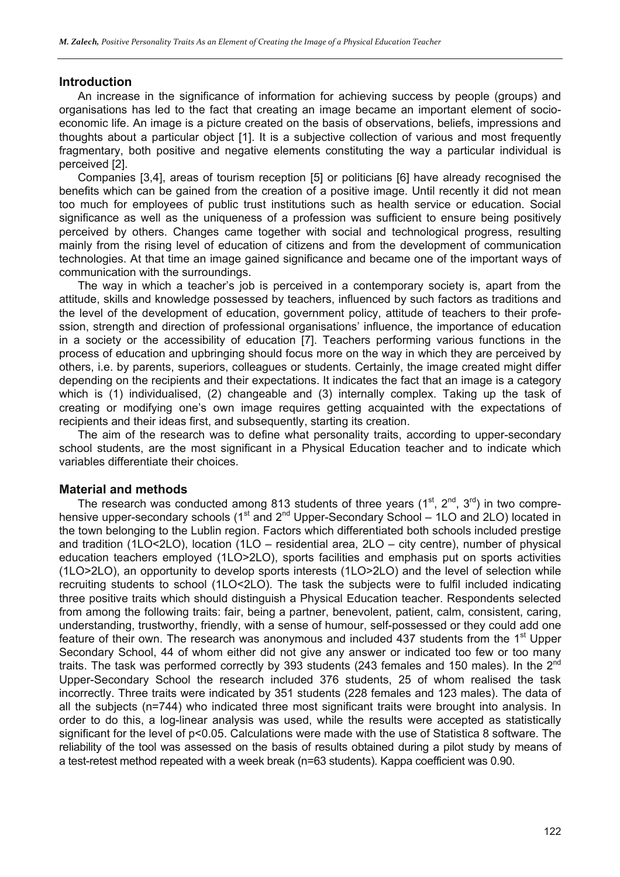#### **Introduction**

An increase in the significance of information for achieving success by people (groups) and organisations has led to the fact that creating an image became an important element of socioeconomic life. An image is a picture created on the basis of observations, beliefs, impressions and thoughts about a particular object [1]. It is a subjective collection of various and most frequently fragmentary, both positive and negative elements constituting the way a particular individual is perceived [2].

Companies [3,4], areas of tourism reception [5] or politicians [6] have already recognised the benefits which can be gained from the creation of a positive image. Until recently it did not mean too much for employees of public trust institutions such as health service or education. Social significance as well as the uniqueness of a profession was sufficient to ensure being positively perceived by others. Changes came together with social and technological progress, resulting mainly from the rising level of education of citizens and from the development of communication technologies. At that time an image gained significance and became one of the important ways of communication with the surroundings.

The way in which a teacher's job is perceived in a contemporary society is, apart from the attitude, skills and knowledge possessed by teachers, influenced by such factors as traditions and the level of the development of education, government policy, attitude of teachers to their profession, strength and direction of professional organisations' influence, the importance of education in a society or the accessibility of education [7]. Teachers performing various functions in the process of education and upbringing should focus more on the way in which they are perceived by others, i.e. by parents, superiors, colleagues or students. Certainly, the image created might differ depending on the recipients and their expectations. It indicates the fact that an image is a category which is (1) individualised, (2) changeable and (3) internally complex. Taking up the task of creating or modifying one's own image requires getting acquainted with the expectations of recipients and their ideas first, and subsequently, starting its creation.

The aim of the research was to define what personality traits, according to upper-secondary school students, are the most significant in a Physical Education teacher and to indicate which variables differentiate their choices.

#### **Material and methods**

The research was conducted among 813 students of three years  $(1^{st}, 2^{nd}, 3^{rd})$  in two comprehensive upper-secondary schools ( $1<sup>st</sup>$  and  $2<sup>nd</sup>$  Upper-Secondary School – 1LO and 2LO) located in the town belonging to the Lublin region. Factors which differentiated both schools included prestige and tradition (1LO<2LO), location (1LO – residential area, 2LO – city centre), number of physical education teachers employed (1LO>2LO), sports facilities and emphasis put on sports activities (1LO>2LO), an opportunity to develop sports interests (1LO>2LO) and the level of selection while recruiting students to school (1LO<2LO). The task the subjects were to fulfil included indicating three positive traits which should distinguish a Physical Education teacher. Respondents selected from among the following traits: fair, being a partner, benevolent, patient, calm, consistent, caring, understanding, trustworthy, friendly, with a sense of humour, self-possessed or they could add one feature of their own. The research was anonymous and included 437 students from the 1<sup>st</sup> Upper Secondary School, 44 of whom either did not give any answer or indicated too few or too many traits. The task was performed correctly by 393 students (243 females and 150 males). In the 2<sup>nd</sup> Upper-Secondary School the research included 376 students, 25 of whom realised the task incorrectly. Three traits were indicated by 351 students (228 females and 123 males). The data of all the subjects (n=744) who indicated three most significant traits were brought into analysis. In order to do this, a log-linear analysis was used, while the results were accepted as statistically significant for the level of p<0.05. Calculations were made with the use of Statistica 8 software. The reliability of the tool was assessed on the basis of results obtained during a pilot study by means of a test-retest method repeated with a week break (n=63 students). Kappa coefficient was 0.90.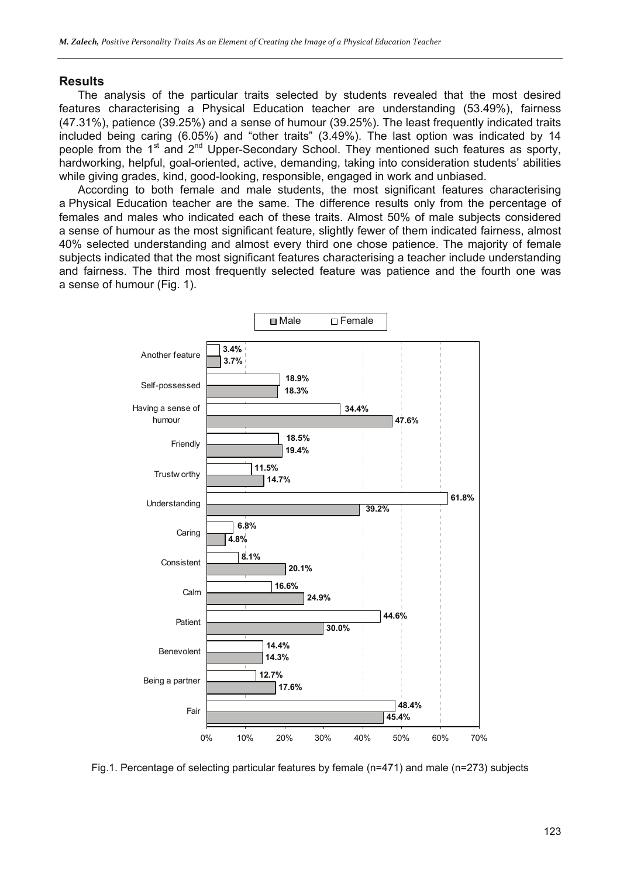#### **Results**

The analysis of the particular traits selected by students revealed that the most desired features characterising a Physical Education teacher are understanding (53.49%), fairness (47.31%), patience (39.25%) and a sense of humour (39.25%). The least frequently indicated traits included being caring (6.05%) and "other traits" (3.49%). The last option was indicated by 14 people from the  $1<sup>st</sup>$  and  $2<sup>nd</sup>$  Upper-Secondary School. They mentioned such features as sporty, hardworking, helpful, goal-oriented, active, demanding, taking into consideration students' abilities while giving grades, kind, good-looking, responsible, engaged in work and unbiased.

According to both female and male students, the most significant features characterising a Physical Education teacher are the same. The difference results only from the percentage of females and males who indicated each of these traits. Almost 50% of male subjects considered a sense of humour as the most significant feature, slightly fewer of them indicated fairness, almost 40% selected understanding and almost every third one chose patience. The majority of female subjects indicated that the most significant features characterising a teacher include understanding and fairness. The third most frequently selected feature was patience and the fourth one was a sense of humour (Fig. 1).



Fig.1. Percentage of selecting particular features by female (n=471) and male (n=273) subjects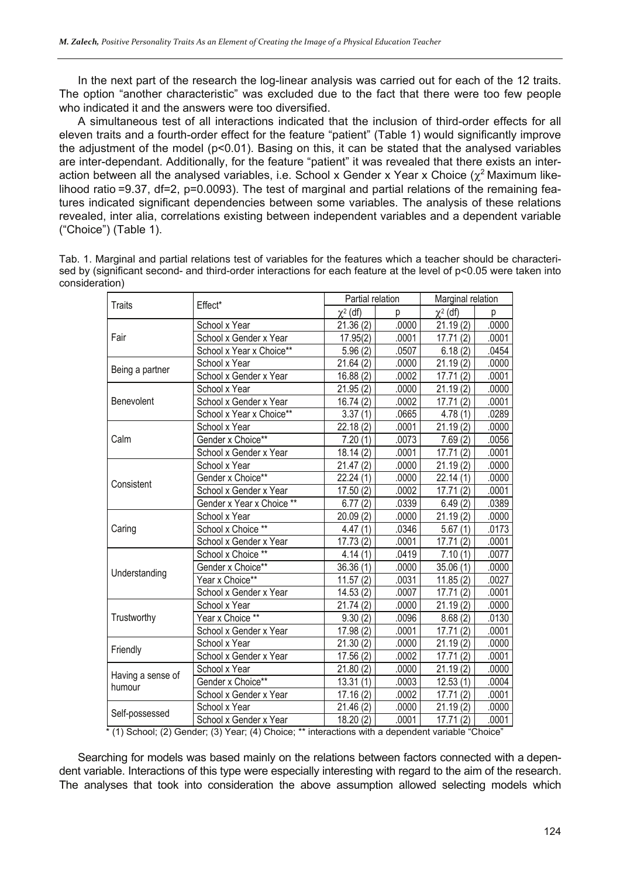In the next part of the research the log-linear analysis was carried out for each of the 12 traits. The option "another characteristic" was excluded due to the fact that there were too few people who indicated it and the answers were too diversified.

A simultaneous test of all interactions indicated that the inclusion of third-order effects for all eleven traits and a fourth-order effect for the feature "patient" (Table 1) would significantly improve the adjustment of the model (p<0.01). Basing on this, it can be stated that the analysed variables are inter-dependant. Additionally, for the feature "patient" it was revealed that there exists an interaction between all the analysed variables, i.e. School x Gender x Year x Choice ( $\chi^2$  Maximum likelihood ratio =9.37, df=2, p=0.0093). The test of marginal and partial relations of the remaining features indicated significant dependencies between some variables. The analysis of these relations revealed, inter alia, correlations existing between independent variables and a dependent variable ("Choice") (Table 1).

| Tab. 1. Marginal and partial relations test of variables for the features which a teacher should be characteri-  |  |
|------------------------------------------------------------------------------------------------------------------|--|
| sed by (significant second- and third-order interactions for each feature at the level of p<0.05 were taken into |  |
| consideration)                                                                                                   |  |

| <b>Traits</b>                                                                                      | Effect*                   | Partial relation       |       | Marginal relation |       |
|----------------------------------------------------------------------------------------------------|---------------------------|------------------------|-------|-------------------|-------|
|                                                                                                    |                           | $\chi^2$ (df)          | p     | $\chi^2$ (df)     | р     |
| Fair                                                                                               | School x Year             | 21.36(2)               | .0000 | 21.19(2)          | .0000 |
|                                                                                                    | School x Gender x Year    | $\overline{17.95(2)}$  | .0001 | 17.71(2)          | .0001 |
|                                                                                                    | School x Year x Choice**  | 5.96(2)                | .0507 | 6.18(2)           | .0454 |
| Being a partner                                                                                    | School x Year             | 21.64(2)               | .0000 | 21.19(2)          | .0000 |
|                                                                                                    | School x Gender x Year    | 16.88(2)               | .0002 | 17.71(2)          | .0001 |
|                                                                                                    | School x Year             | 21.95(2)               | .0000 | 21.19(2)          | .0000 |
| Benevolent                                                                                         | School x Gender x Year    | 16.74(2)               | .0002 | 17.71(2)          | .0001 |
|                                                                                                    | School x Year x Choice**  | 3.37(1)                | .0665 | 4.78(1)           | .0289 |
|                                                                                                    | School x Year             | 22.18(2)               | .0001 | 21.19(2)          | .0000 |
| Calm                                                                                               | Gender x Choice**         | 7.20(1)                | .0073 | 7.69(2)           | .0056 |
|                                                                                                    | School x Gender x Year    | 18.14(2)               | .0001 | 17.71(2)          | .0001 |
|                                                                                                    | School x Year             | 21.47(2)               | .0000 | 21.19(2)          | .0000 |
| Consistent                                                                                         | Gender x Choice**         | 22.24(1)               | .0000 | 22.14(1)          | .0000 |
|                                                                                                    | School x Gender x Year    | 17.50(2)               | .0002 | 17.71(2)          | .0001 |
|                                                                                                    | Gender x Year x Choice ** | 6.77(2)                | .0339 | 6.49(2)           | .0389 |
|                                                                                                    | School x Year             | 20.09(2)               | .0000 | 21.19(2)          | .0000 |
| Caring                                                                                             | School x Choice **        | 4.47(1)                | .0346 | 5.67(1)           | .0173 |
|                                                                                                    | School x Gender x Year    | 17.73(2)               | .0001 | 17.71(2)          | .0001 |
|                                                                                                    | School x Choice **        | 4.14(1)                | .0419 | 7.10(1)           | .0077 |
| Understanding                                                                                      | Gender x Choice**         | 36.36(1)               | .0000 | 35.06(1)          | .0000 |
|                                                                                                    | Year x Choice**           | 11.57(2)               | .0031 | 11.85(2)          | .0027 |
|                                                                                                    | School x Gender x Year    | 14.53(2)               | .0007 | 17.71(2)          | .0001 |
| Trustworthy                                                                                        | School x Year             | 21.74(2)               | .0000 | 21.19(2)          | .0000 |
|                                                                                                    | Year x Choice **          | 9.30(2)                | .0096 | 8.68(2)           | .0130 |
|                                                                                                    | School x Gender x Year    | 17.98 (2)              | .0001 | 17.71(2)          | .0001 |
| Friendly                                                                                           | School x Year             | 21.30(2)               | .0000 | 21.19(2)          | .0000 |
|                                                                                                    | School x Gender x Year    | 17.56(2)               | .0002 | 17.71(2)          | .0001 |
|                                                                                                    | School x Year             | 21.80(2)               | .0000 | 21.19(2)          | .0000 |
| Having a sense of<br>humour                                                                        | Gender x Choice**         | 13.31(1)               | .0003 | 12.53(1)          | .0004 |
|                                                                                                    | School x Gender x Year    | $\overline{17.16}$ (2) | .0002 | 17.71(2)          | .0001 |
| Self-possessed                                                                                     | School x Year             | 21.46(2)               | .0000 | 21.19(2)          | .0000 |
|                                                                                                    | School x Gender x Year    | 18.20(2)               | .0001 | 17.71(2)          | .0001 |
| * (1) School; (2) Gender; (3) Year; (4) Choice; ** interactions with a dependent variable "Choice" |                           |                        |       |                   |       |

Searching for models was based mainly on the relations between factors connected with a dependent variable. Interactions of this type were especially interesting with regard to the aim of the research. The analyses that took into consideration the above assumption allowed selecting models which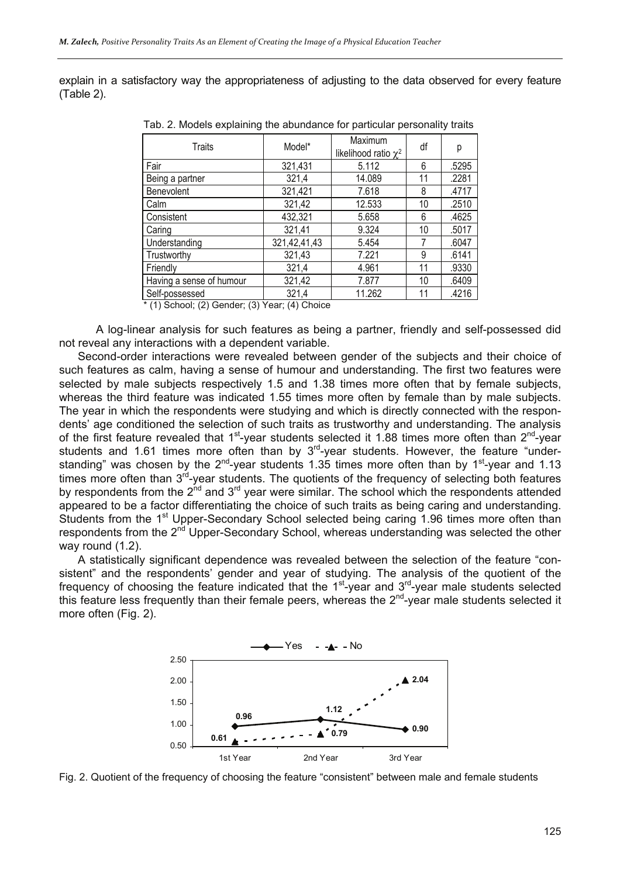explain in a satisfactory way the appropriateness of adjusting to the data observed for every feature (Table 2).

| Traits                               | Model*       | Maximum<br>likelihood ratio $\chi^2$ | df | р     |
|--------------------------------------|--------------|--------------------------------------|----|-------|
| Fair                                 | 321,431      | 5.112                                | 6  | .5295 |
| Being a partner                      | 321,4        | 14.089                               | 11 | .2281 |
| <b>Benevolent</b>                    | 321,421      | 7.618                                | 8  | .4717 |
| Calm                                 | 321,42       | 12.533                               | 10 | .2510 |
| Consistent                           | 432,321      | 5.658                                | 6  | .4625 |
| Caring                               | 321,41       | 9.324                                | 10 | .5017 |
| Understanding                        | 321,42,41,43 | 5.454                                | 7  | .6047 |
| Trustworthy                          | 321,43       | 7.221                                | 9  | .6141 |
| Friendly                             | 321,4        | 4.961                                | 11 | .9330 |
| Having a sense of humour             | 321,42       | 7.877                                | 10 | .6409 |
| Self-possessed<br>$\cdots$<br>$\sim$ | 321,4        | 11.262                               | 11 | .4216 |

Tab. 2. Models explaining the abundance for particular personality traits

 $*$  (1) School; (2) Gender; (3) Year; (4) Choice

A log-linear analysis for such features as being a partner, friendly and self-possessed did not reveal any interactions with a dependent variable.

Second-order interactions were revealed between gender of the subjects and their choice of such features as calm, having a sense of humour and understanding. The first two features were selected by male subjects respectively 1.5 and 1.38 times more often that by female subjects, whereas the third feature was indicated 1.55 times more often by female than by male subjects. The year in which the respondents were studying and which is directly connected with the respondents' age conditioned the selection of such traits as trustworthy and understanding. The analysis of the first feature revealed that  $1<sup>st</sup>$ -year students selected it 1.88 times more often than  $2<sup>nd</sup>$ -year students and 1.61 times more often than by  $3<sup>rd</sup>$ -year students. However, the feature "understanding" was chosen by the  $2^{nd}$ -year students 1.35 times more often than by  $1^{st}$ -year and 1.13 times more often than  $3^{rd}$ -year students. The quotients of the frequency of selecting both features by respondents from the  $2^{nd}$  and  $3^{rd}$  year were similar. The school which the respondents attended appeared to be a factor differentiating the choice of such traits as being caring and understanding. Students from the 1<sup>st</sup> Upper-Secondary School selected being caring 1.96 times more often than respondents from the 2<sup>nd</sup> Upper-Secondary School, whereas understanding was selected the other way round (1.2).

A statistically significant dependence was revealed between the selection of the feature "consistent" and the respondents' gender and year of studying. The analysis of the quotient of the frequency of choosing the feature indicated that the  $1<sup>st</sup>$ -year and  $3<sup>rd</sup>$ -year male students selected this feature less frequently than their female peers, whereas the  $2^{nd}$ -year male students selected it more often (Fig. 2).



Fig. 2. Quotient of the frequency of choosing the feature "consistent" between male and female students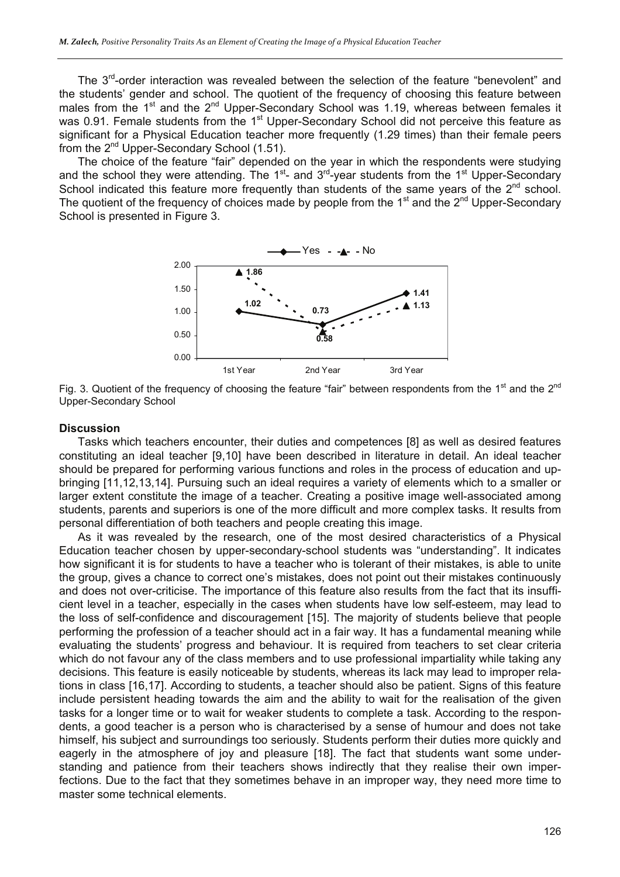The  $3<sup>rd</sup>$ -order interaction was revealed between the selection of the feature "benevolent" and the students' gender and school. The quotient of the frequency of choosing this feature between males from the 1<sup>st</sup> and the 2<sup>nd</sup> Upper-Secondary School was 1.19, whereas between females it was 0.91. Female students from the 1<sup>st</sup> Upper-Secondary School did not perceive this feature as significant for a Physical Education teacher more frequently (1.29 times) than their female peers from the 2<sup>nd</sup> Upper-Secondary School (1.51).

The choice of the feature "fair" depended on the year in which the respondents were studying and the school they were attending. The  $1^{st}$ - and  $3^{rd}$ -year students from the  $1^{st}$  Upper-Secondary School indicated this feature more frequently than students of the same years of the 2<sup>nd</sup> school. The quotient of the frequency of choices made by people from the  $1<sup>st</sup>$  and the  $2<sup>nd</sup>$  Upper-Secondary School is presented in Figure 3.



Fig. 3. Quotient of the frequency of choosing the feature "fair" between respondents from the 1<sup>st</sup> and the  $2^{nd}$ Upper-Secondary School

#### **Discussion**

Tasks which teachers encounter, their duties and competences [8] as well as desired features constituting an ideal teacher [9,10] have been described in literature in detail. An ideal teacher should be prepared for performing various functions and roles in the process of education and upbringing [11,12,13,14]. Pursuing such an ideal requires a variety of elements which to a smaller or larger extent constitute the image of a teacher. Creating a positive image well-associated among students, parents and superiors is one of the more difficult and more complex tasks. It results from personal differentiation of both teachers and people creating this image.

As it was revealed by the research, one of the most desired characteristics of a Physical Education teacher chosen by upper-secondary-school students was "understanding". It indicates how significant it is for students to have a teacher who is tolerant of their mistakes, is able to unite the group, gives a chance to correct one's mistakes, does not point out their mistakes continuously and does not over-criticise. The importance of this feature also results from the fact that its insufficient level in a teacher, especially in the cases when students have low self-esteem, may lead to the loss of self-confidence and discouragement [15]. The majority of students believe that people performing the profession of a teacher should act in a fair way. It has a fundamental meaning while evaluating the students' progress and behaviour. It is required from teachers to set clear criteria which do not favour any of the class members and to use professional impartiality while taking any decisions. This feature is easily noticeable by students, whereas its lack may lead to improper relations in class [16,17]. According to students, a teacher should also be patient. Signs of this feature include persistent heading towards the aim and the ability to wait for the realisation of the given tasks for a longer time or to wait for weaker students to complete a task. According to the respondents, a good teacher is a person who is characterised by a sense of humour and does not take himself, his subject and surroundings too seriously. Students perform their duties more quickly and eagerly in the atmosphere of joy and pleasure [18]. The fact that students want some understanding and patience from their teachers shows indirectly that they realise their own imperfections. Due to the fact that they sometimes behave in an improper way, they need more time to master some technical elements.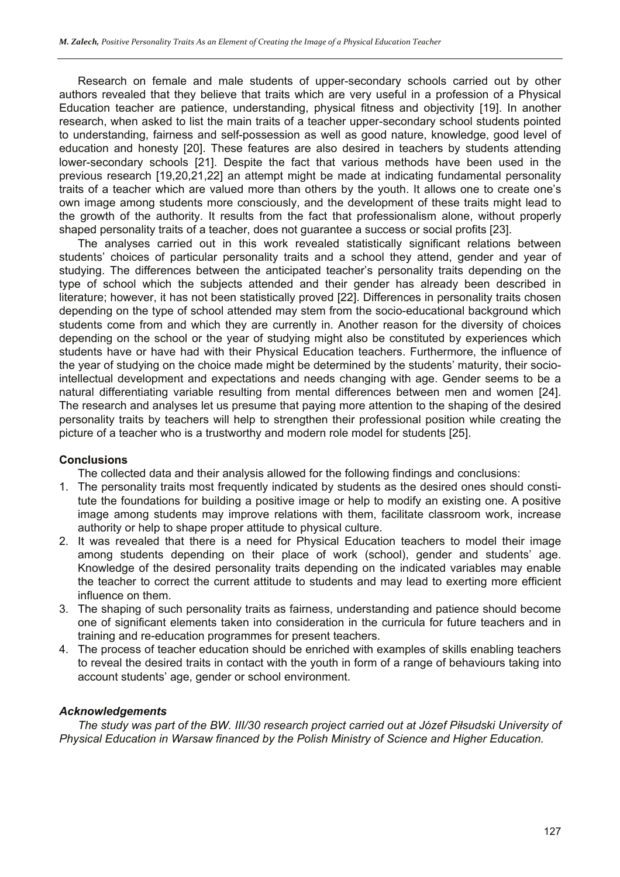Research on female and male students of upper-secondary schools carried out by other authors revealed that they believe that traits which are very useful in a profession of a Physical Education teacher are patience, understanding, physical fitness and objectivity [19]. In another research, when asked to list the main traits of a teacher upper-secondary school students pointed to understanding, fairness and self-possession as well as good nature, knowledge, good level of education and honesty [20]. These features are also desired in teachers by students attending lower-secondary schools [21]. Despite the fact that various methods have been used in the previous research [19,20,21,22] an attempt might be made at indicating fundamental personality traits of a teacher which are valued more than others by the youth. It allows one to create one's own image among students more consciously, and the development of these traits might lead to the growth of the authority. It results from the fact that professionalism alone, without properly shaped personality traits of a teacher, does not guarantee a success or social profits [23].

The analyses carried out in this work revealed statistically significant relations between students' choices of particular personality traits and a school they attend, gender and year of studying. The differences between the anticipated teacher's personality traits depending on the type of school which the subjects attended and their gender has already been described in literature; however, it has not been statistically proved [22]. Differences in personality traits chosen depending on the type of school attended may stem from the socio-educational background which students come from and which they are currently in. Another reason for the diversity of choices depending on the school or the year of studying might also be constituted by experiences which students have or have had with their Physical Education teachers. Furthermore, the influence of the year of studying on the choice made might be determined by the students' maturity, their sociointellectual development and expectations and needs changing with age. Gender seems to be a natural differentiating variable resulting from mental differences between men and women [24]. The research and analyses let us presume that paying more attention to the shaping of the desired personality traits by teachers will help to strengthen their professional position while creating the picture of a teacher who is a trustworthy and modern role model for students [25].

#### **Conclusions**

The collected data and their analysis allowed for the following findings and conclusions:

- 1. The personality traits most frequently indicated by students as the desired ones should constitute the foundations for building a positive image or help to modify an existing one. A positive image among students may improve relations with them, facilitate classroom work, increase authority or help to shape proper attitude to physical culture.
- 2. It was revealed that there is a need for Physical Education teachers to model their image among students depending on their place of work (school), gender and students' age. Knowledge of the desired personality traits depending on the indicated variables may enable the teacher to correct the current attitude to students and may lead to exerting more efficient influence on them.
- 3. The shaping of such personality traits as fairness, understanding and patience should become one of significant elements taken into consideration in the curricula for future teachers and in training and re-education programmes for present teachers.
- 4. The process of teacher education should be enriched with examples of skills enabling teachers to reveal the desired traits in contact with the youth in form of a range of behaviours taking into account students' age, gender or school environment.

#### *Acknowledgements*

*The study was part of the BW. III/30 research project carried out at Józef Piłsudski University of Physical Education in Warsaw financed by the Polish Ministry of Science and Higher Education.*